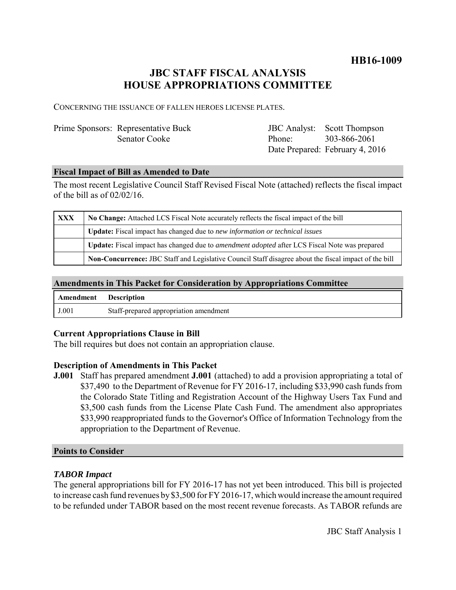### **HB16-1009**

## **JBC STAFF FISCAL ANALYSIS HOUSE APPROPRIATIONS COMMITTEE**

CONCERNING THE ISSUANCE OF FALLEN HEROES LICENSE PLATES.

| Prime Sponsors: Representative Buck |                     | <b>JBC</b> Analyst: Scott Thompson |
|-------------------------------------|---------------------|------------------------------------|
| <b>Senator Cooke</b>                | Phone: 303-866-2061 |                                    |
|                                     |                     | Date Prepared: February 4, 2016    |

#### **Fiscal Impact of Bill as Amended to Date**

The most recent Legislative Council Staff Revised Fiscal Note (attached) reflects the fiscal impact of the bill as of 02/02/16.

| <b>XXX</b> | No Change: Attached LCS Fiscal Note accurately reflects the fiscal impact of the bill                       |  |
|------------|-------------------------------------------------------------------------------------------------------------|--|
|            | <b>Update:</b> Fiscal impact has changed due to new information or technical issues                         |  |
|            | <b>Update:</b> Fiscal impact has changed due to <i>amendment adopted</i> after LCS Fiscal Note was prepared |  |
|            | Non-Concurrence: JBC Staff and Legislative Council Staff disagree about the fiscal impact of the bill       |  |

#### **Amendments in This Packet for Consideration by Appropriations Committee**

| <b>Amendment</b> Description |                                        |
|------------------------------|----------------------------------------|
| J.001                        | Staff-prepared appropriation amendment |

#### **Current Appropriations Clause in Bill**

The bill requires but does not contain an appropriation clause.

#### **Description of Amendments in This Packet**

**J.001** Staff has prepared amendment **J.001** (attached) to add a provision appropriating a total of \$37,490 to the Department of Revenue for FY 2016-17, including \$33,990 cash funds from the Colorado State Titling and Registration Account of the Highway Users Tax Fund and \$3,500 cash funds from the License Plate Cash Fund. The amendment also appropriates \$33,990 reappropriated funds to the Governor's Office of Information Technology from the appropriation to the Department of Revenue.

#### **Points to Consider**

#### *TABOR Impact*

The general appropriations bill for FY 2016-17 has not yet been introduced. This bill is projected to increase cash fund revenues by \$3,500 for FY 2016-17, which would increase the amount required to be refunded under TABOR based on the most recent revenue forecasts. As TABOR refunds are